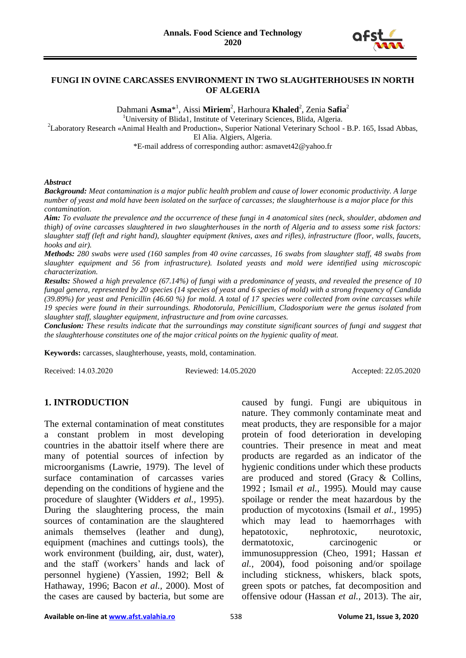

#### **FUNGI IN OVINE CARCASSES ENVIRONMENT IN TWO SLAUGHTERHOUSES IN NORTH OF ALGERIA**

Dahmani **Asma**\* 1 , Aissi **Miriem**<sup>2</sup> , Harhoura **Khaled**<sup>2</sup> , Zenia **Safia**<sup>2</sup>

<sup>1</sup>University of Blida1, Institute of Veterinary Sciences, Blida, Algeria.

<sup>2</sup>Laboratory Research «Animal Health and Production», Superior National Veterinary School - B.P. 165, Issad Abbas,

El Alia. Algiers, Algeria.

\*E-mail address of corresponding author: asmavet42@yahoo.fr

#### *Abstract*

*Background: Meat contamination is a major public health problem and cause of lower economic productivity. A large number of yeast and mold have been isolated on the surface of carcasses; the slaughterhouse is a major place for this contamination.*

*Aim: To evaluate the prevalence and the occurrence of these fungi in 4 anatomical sites (neck, shoulder, abdomen and thigh) of ovine carcasses slaughtered in two slaughterhouses in the north of Algeria and to assess some risk factors: slaughter staff (left and right hand), slaughter equipment (knives, axes and rifles), infrastructure (floor, walls, faucets, hooks and air).*

*Methods: 280 swabs were used (160 samples from 40 ovine carcasses, 16 swabs from slaughter staff, 48 swabs from slaughter equipment and 56 from infrastructure). Isolated yeasts and mold were identified using microscopic characterization.*

*Results: Showed a high prevalence (67.14%) of fungi with a predominance of yeasts, and revealed the presence of 10 fungal genera, represented by 20 species (14 species of yeast and 6 species of mold) with a strong frequency of Candida (39.89%) for yeast and Penicillin (46.60 %) for mold. A total of 17 species were collected from ovine carcasses while 19 species were found in their surroundings. Rhodotorula, Penicillium, Cladosporium were the genus isolated from slaughter staff, slaughter equipment, infrastructure and from ovine carcasses.*

*Conclusion: These results indicate that the surroundings may constitute significant sources of fungi and suggest that the slaughterhouse constitutes one of the major critical points on the hygienic quality of meat.*

**Keywords:** carcasses, slaughterhouse, yeasts, mold, contamination.

Received: 14.03.2020 Reviewed: 14.05.2020 Accepted: 22.05.2020

## **1. INTRODUCTION**

The external contamination of meat constitutes a constant problem in most developing countries in the abattoir itself where there are many of potential sources of infection by microorganisms (Lawrie, 1979). The level of surface contamination of carcasses varies depending on the conditions of hygiene and the procedure of slaughter (Widders *et al.,* 1995). During the slaughtering process, the main sources of contamination are the slaughtered animals themselves (leather and dung), equipment (machines and cuttings tools), the work environment (building, air, dust, water), and the staff (workers' hands and lack of personnel hygiene) (Yassien, 1992; Bell & Hathaway, 1996; Bacon *et al.,* 2000). Most of the cases are caused by bacteria, but some are caused by fungi. Fungi are ubiquitous in nature. They commonly contaminate meat and meat products, they are responsible for a major protein of food deterioration in developing countries. Their presence in meat and meat products are regarded as an indicator of the hygienic conditions under which these products are produced and stored (Gracy & Collins, 1992 ; Ismail *et al.,* 1995)*.* Mould may cause spoilage or render the meat hazardous by the production of mycotoxins (Ismail *et al.,* 1995) which may lead to haemorrhages with hepatotoxic, nephrotoxic, neurotoxic, dermatotoxic, carcinogenic or immunosuppression (Cheo, 1991; Hassan *et al.,* 2004), food poisoning and/or spoilage including stickness, whiskers, black spots, green spots or patches, fat decomposition and offensive odour (Hassan *et al.,* 2013). The air,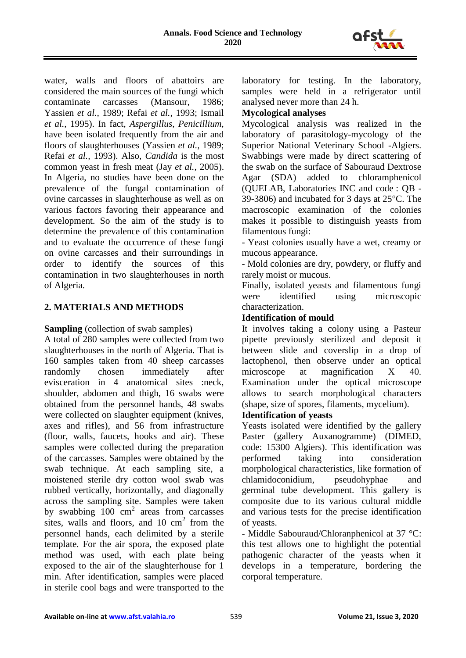

water, walls and floors of abattoirs are considered the main sources of the fungi which contaminate carcasses (Mansour, 1986; Yassien *et al.,* 1989; Refai *et al.,* 1993; Ismail *et al.,* 1995). In fact*, Aspergillus, Penicillium,*  have been isolated frequently from the air and floors of slaughterhouses (Yassien *et al.,* 1989; Refai *et al.,* 1993). Also, *Candida* is the most common yeast in fresh meat (Jay *et al.,* 2005). In Algeria, no studies have been done on the prevalence of the fungal contamination of ovine carcasses in slaughterhouse as well as on various factors favoring their appearance and development. So the aim of the study is to determine the prevalence of this contamination and to evaluate the occurrence of these fungi on ovine carcasses and their surroundings in order to identify the sources of this contamination in two slaughterhouses in north of Algeria.

## **2. MATERIALS AND METHODS**

**Sampling** (collection of swab samples)

A total of 280 samples were collected from two slaughterhouses in the north of Algeria. That is 160 samples taken from 40 sheep carcasses randomly chosen immediately after evisceration in 4 anatomical sites :neck, shoulder, abdomen and thigh, 16 swabs were obtained from the personnel hands, 48 swabs were collected on slaughter equipment (knives, axes and rifles), and 56 from infrastructure (floor, walls, faucets, hooks and air). These samples were collected during the preparation of the carcasses. Samples were obtained by the swab technique. At each sampling site, a moistened sterile dry cotton wool swab was rubbed vertically, horizontally, and diagonally across the sampling site. Samples were taken by swabbing  $100 \text{ cm}^2$  areas from carcasses sites, walls and floors, and  $10 \text{ cm}^2$  from the personnel hands, each delimited by a sterile template. For the air spora, the exposed plate method was used, with each plate being exposed to the air of the slaughterhouse for 1 min. After identification, samples were placed in sterile cool bags and were transported to the

laboratory for testing. In the laboratory, samples were held in a refrigerator until analysed never more than 24 h.

## **Mycological analyses**

Mycological analysis was realized in the laboratory of parasitology-mycology of the Superior National Veterinary School -Algiers. Swabbings were made by direct scattering of the swab on the surface of Sabouraud Dextrose Agar (SDA) added to chloramphenicol (QUELAB, Laboratories INC and code : QB - 39-3806) and incubated for 3 days at 25°C. The macroscopic examination of the colonies makes it possible to distinguish yeasts from filamentous fungi:

- Yeast colonies usually have a wet, creamy or mucous appearance.

- Mold colonies are dry, powdery, or fluffy and rarely moist or mucous.

Finally, isolated yeasts and filamentous fungi were identified using microscopic characterization.

## **Identification of mould**

It involves taking a colony using a Pasteur pipette previously sterilized and deposit it between slide and coverslip in a drop of lactophenol, then observe under an optical microscope at magnification X 40. Examination under the optical microscope allows to search morphological characters (shape, size of spores, filaments, mycelium).

## **Identification of yeasts**

Yeasts isolated were identified by the gallery Paster (gallery Auxanogramme) (DIMED, code: 15300 Algiers). This identification was performed taking into consideration morphological characteristics, like formation of chlamidoconidium, pseudohyphae and germinal tube development. This gallery is composite due to its various cultural middle and various tests for the precise identification of yeasts.

- Middle Sabouraud/Chloranphenicol at 37 °C: this test allows one to highlight the potential pathogenic character of the yeasts when it develops in a temperature, bordering the corporal temperature.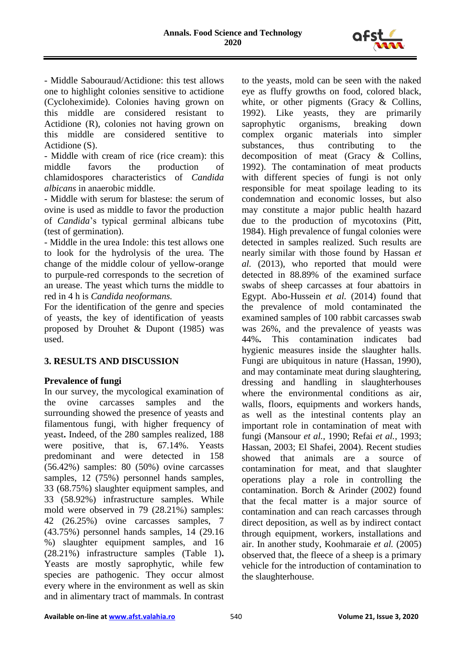

- Middle Sabouraud/Actidione: this test allows one to highlight colonies sensitive to actidione (Cycloheximide). Colonies having grown on this middle are considered resistant to Actidione (R), colonies not having grown on this middle are considered sentitive to Actidione (S).

- Middle with cream of rice (rice cream): this middle favors the production of chlamidospores characteristics of *Candida albicans* in anaerobic middle.

- Middle with serum for blastese: the serum of ovine is used as middle to favor the production of *Candida*'s typical germinal albicans tube (test of germination).

- Middle in the urea Indole: this test allows one to look for the hydrolysis of the urea. The change of the middle colour of yellow-orange to purpule-red corresponds to the secretion of an urease. The yeast which turns the middle to red in 4 h is *Candida neoformans.*

For the identification of the genre and species of yeasts, the key of identification of yeasts proposed by Drouhet & Dupont (1985) was used.

# **3. RESULTS AND DISCUSSION**

## **Prevalence of fungi**

In our survey, the mycological examination of the ovine carcasses samples and the surrounding showed the presence of yeasts and filamentous fungi, with higher frequency of yeast**.** Indeed, of the 280 samples realized, 188 were positive, that is, 67.14%. Yeasts predominant and were detected in 158 (56.42%) samples: 80 (50%) ovine carcasses samples, 12 (75%) personnel hands samples, 33 (68.75%) slaughter equipment samples, and 33 (58.92%) infrastructure samples. While mold were observed in 79 (28.21%) samples: 42 (26.25%) ovine carcasses samples, 7 (43.75%) personnel hands samples, 14 (29.16 %) slaughter equipment samples, and 16 (28.21%) infrastructure samples (Table 1)**.** Yeasts are mostly saprophytic, while few species are pathogenic. They occur almost every where in the environment as well as skin and in alimentary tract of mammals. In contrast

to the yeasts, mold can be seen with the naked eye as fluffy growths on food, colored black, white, or other pigments (Gracy & Collins, 1992). Like yeasts, they are primarily saprophytic organisms, breaking down saprophytic organisms, breaking down complex organic materials into simpler substances, thus contributing to the decomposition of meat (Gracy & Collins, 1992). The contamination of meat products with different species of fungi is not only responsible for meat spoilage leading to its condemnation and economic losses, but also may constitute a major public health hazard due to the production of mycotoxins (Pitt, 1984). High prevalence of fungal colonies were detected in samples realized. Such results are nearly similar with those found by Hassan *et al.* (2013), who reported that mould were detected in 88.89% of the examined surface swabs of sheep carcasses at four abattoirs in Egypt. Abo-Hussein *et al.* (2014) found that the prevalence of mold contaminated the examined samples of 100 rabbit carcasses swab was 26%, and the prevalence of yeasts was 44%**.** This contamination indicates bad hygienic measures inside the slaughter halls. Fungi are ubiquitous in nature (Hassan, 1990), and may contaminate meat during slaughtering, dressing and handling in slaughterhouses where the environmental conditions as air, walls, floors, equipments and workers hands, as well as the intestinal contents play an important role in contamination of meat with fungi (Mansour *et al.,* 1990; Refai *et al.,* 1993; Hassan, 2003; El Shafei, 2004). Recent studies showed that animals are a source of contamination for meat, and that slaughter operations play a role in controlling the contamination. Borch & Arinder (2002) found that the fecal matter is a major source of contamination and can reach carcasses through direct deposition, as well as by indirect contact through equipment, workers, installations and air. In another study, Koohmaraie *et al.* (2005) observed that, the fleece of a sheep is a primary vehicle for the introduction of contamination to the slaughterhouse.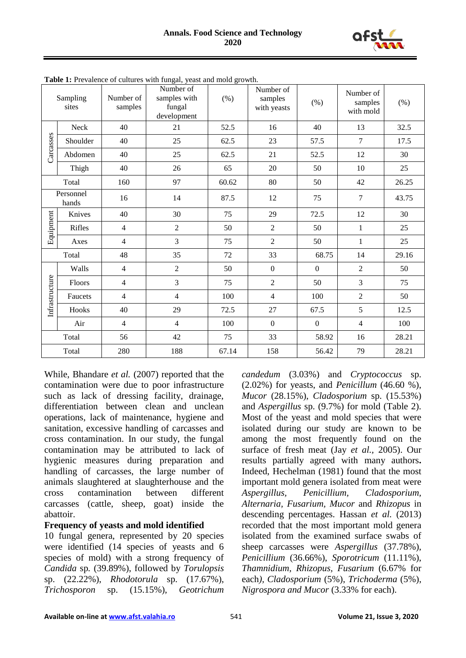

| Sampling<br>sites  |          | Number of<br>samples | Number of<br>samples with<br>fungal<br>development | $(\%)$ | Number of<br>samples<br>with yeasts | (% )             | Number of<br>samples<br>with mold | (% )  |
|--------------------|----------|----------------------|----------------------------------------------------|--------|-------------------------------------|------------------|-----------------------------------|-------|
| Carcasses          | Neck     | 40                   | 21                                                 | 52.5   | 16                                  | 40               | 13                                | 32.5  |
|                    | Shoulder | 40                   | 25                                                 | 62.5   | 23                                  | 57.5             | $\overline{7}$                    | 17.5  |
|                    | Abdomen  | 40                   | 25                                                 | 62.5   | 21                                  | 52.5             | 12                                | 30    |
|                    | Thigh    | 40                   | 26                                                 | 65     | 20                                  | 50               | 10                                | 25    |
| Total              |          | 160                  | 97                                                 | 60.62  | 80                                  | 50               | 42                                | 26.25 |
| Personnel<br>hands |          | 16                   | 14                                                 | 87.5   | 12                                  | 75               | $\overline{7}$                    | 43.75 |
| Equipment          | Knives   | 40                   | 30                                                 | 75     | 29                                  | 72.5             | 12                                | 30    |
|                    | Rifles   | $\overline{4}$       | $\overline{2}$                                     | 50     | $\overline{2}$                      | 50               | $\mathbf{1}$                      | 25    |
|                    | Axes     | $\overline{4}$       | $\mathfrak{Z}$                                     | 75     | $\overline{2}$                      | 50               | $\mathbf{1}$                      | 25    |
| Total              |          | 48                   | 35                                                 | 72     | 33                                  | 68.75            | 14                                | 29.16 |
|                    | Walls    | $\overline{4}$       | $\sqrt{2}$                                         | 50     | $\mathbf{0}$                        | $\boldsymbol{0}$ | $\overline{2}$                    | 50    |
|                    | Floors   | $\overline{4}$       | 3                                                  | 75     | $\overline{2}$                      | 50               | $\mathfrak{Z}$                    | 75    |
| Infrastructure     | Faucets  | $\overline{4}$       | $\overline{4}$                                     | 100    | $\overline{4}$                      | 100              | $\overline{2}$                    | 50    |
|                    | Hooks    | 40                   | 29                                                 | 72.5   | 27                                  | 67.5             | 5                                 | 12.5  |
|                    | Air      | $\overline{4}$       | $\overline{4}$                                     | 100    | $\mathbf{0}$                        | $\boldsymbol{0}$ | $\overline{4}$                    | 100   |
|                    | Total    | 56                   | 42                                                 | 75     | 33                                  | 58.92            | 16                                | 28.21 |
| Total              |          | 280                  | 188                                                | 67.14  | 158                                 | 56.42            | 79                                | 28.21 |

**Table 1:** Prevalence of cultures with fungal, yeast and mold growth.

While, Bhandare *et al.* (2007) reported that the contamination were due to poor infrastructure such as lack of dressing facility, drainage, differentiation between clean and unclean operations, lack of maintenance, hygiene and sanitation, excessive handling of carcasses and cross contamination. In our study, the fungal contamination may be attributed to lack of hygienic measures during preparation and handling of carcasses, the large number of animals slaughtered at slaughterhouse and the cross contamination between different carcasses (cattle, sheep, goat) inside the abattoir.

## **Frequency of yeasts and mold identified**

10 fungal genera, represented by 20 species were identified (14 species of yeasts and 6 species of mold) with a strong frequency of *Candida* sp*.* (39.89%), followed by *Torulopsis*  sp. (22.22%), *Rhodotorula* sp. (17.67%), *Trichosporon* sp. (15.15%), *Geotrichum*  *candedum* (3.03%) and *Cryptococcus* sp. (2.02%) for yeasts, and *Penicillum* (46.60 %), *Mucor* (28.15%), *Cladosporium* sp. (15.53%) and *Aspergillus* sp. (9.7%) for mold (Table 2). Most of the yeast and mold species that were isolated during our study are known to be among the most frequently found on the surface of fresh meat (Jay *et al.,* 2005). Our results partially agreed with many authors**.**  Indeed, Hechelman (1981) found that the most important mold genera isolated from meat were *Aspergillus, Penicillium, Cladosporium, Alternaria, Fusarium, Mucor* and *Rhizopus* in descending percentages. Hassan *et al.* (2013) recorded that the most important mold genera isolated from the examined surface swabs of sheep carcasses were *Aspergillus* (37.78%), *Penicillium* (36.66%), *Sporotricum* (11.11%), *Thamnidium, Rhizopus, Fusarium* (6.67% for each*), Cladosporium* (5%), *Trichoderma* (5%), *Nigrospora and Mucor* (3.33% for each).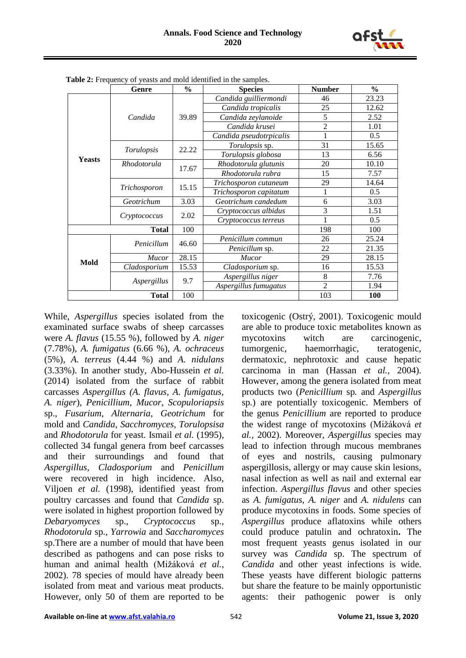

|               | Genre        | $\frac{0}{0}$ | <b>Species</b>          | <b>Number</b>  | $\frac{6}{6}$ |
|---------------|--------------|---------------|-------------------------|----------------|---------------|
|               |              |               | Candida guilliermondi   | 46             | 23.23         |
|               |              |               | Candida tropicalis      | 25             | 12.62         |
|               | Candida      | 39.89         | Candida zeylanoide      | 5              | 2.52          |
|               |              |               | Candida krusei          | $\overline{2}$ | 1.01          |
|               |              |               | Candida pseudotrpicalis | 1              | 0.5           |
|               |              | 22.22         | Torulopsis sp.          | 31             | 15.65         |
| <b>Yeasts</b> | Torulopsis   |               | Torulopsis globosa      | 13             | 6.56          |
|               | Rhodotorula  | 17.67         | Rhodotorula glutunis    | 20             | 10.10         |
|               |              |               | Rhodotorula rubra       | 15             | 7.57          |
|               |              |               | Trichosporon cutaneum   | 29             | 14.64         |
|               | Trichosporon | 15.15         | Trichosporon capitatum  | 1              | 0.5           |
|               | Geotrichum   | 3.03          | Geotrichum candedum     | 6              | 3.03          |
|               |              | 2.02          | Cryptococcus albidus    | 3              | 1.51          |
|               | Cryptococcus |               | Cryptococcus terreus    | 1              | 0.5           |
|               | <b>Total</b> | 100           |                         | 198            | 100           |
|               | Penicillum   | 46.60         | Penicillum commun       | 26             | 25.24         |
|               |              |               | Penicillum sp.          | 22             | 21.35         |
| Mold          | Mucor        | 28.15         | <b>Mucor</b>            | 29             | 28.15         |
|               | Cladosporium | 15.53         | Cladosporium sp.        | 16             | 15.53         |
|               | Aspergillus  | 9.7           | Aspergillus niger       | 8              | 7.76          |
|               |              |               | Aspergillus fumugatus   | $\overline{2}$ | 1.94          |
|               | <b>Total</b> | 100           |                         | 103            | <b>100</b>    |

 **Table 2:** Frequency of yeasts and mold identified in the samples.

While, *Aspergillus* species isolated from the examinated surface swabs of sheep carcasses were *A. flavus* (15.55 %), followed by *A. niger* (7.78%), *A. fumigatus* (6.66 %), *A. ochraceus* (5%), *A. terreus* (4.44 %) and *A. nidulans* (3.33%). In another study, Abo-Hussein *et al.*  (2014) isolated from the surface of rabbit carcasses *Aspergillus (A. flavus, A. fumigatus, A. niger*)*, Penicillium*, *Mucor*, *Scopuloriapsis*  sp., *Fusarium*, *Alternaria*, *Geotrichum* for mold and *Candida*, *Sacchromyces, Torulopsisa*  and *Rhodotorula* for yeast. Ismail *et al.* (1995), collected 34 fungal genera from beef carcasses and their surroundings and found that *Aspergillus*, *Cladosporium* and *Penicillum* were recovered in high incidence. Also, Viljoen *et al.* (1998), identified yeast from poultry carcasses and found that *Candida* sp. were isolated in highest proportion followed by *Debaryomyces* sp., *Cryptococcus* sp., *Rhodotorula* sp., *Yarrowia* and *Saccharomyces*  sp.There are a number of mould that have been described as pathogens and can pose risks to human and animal health (Mižáková *et al.,* 2002). 78 species of mould have already been isolated from meat and various meat products. However, only 50 of them are reported to be

toxicogenic (Ostrý, 2001). Toxicogenic mould are able to produce toxic metabolites known as mycotoxins witch are carcinogenic, tumorgenic, haemorrhagic, teratogenic, dermatoxic, nephrotoxic and cause hepatic carcinoma in man (Hassan *et al.,* 2004). However, among the genera isolated from meat products two (*Penicillium* sp*.* and *Aspergillus*  sp*.*) are potentially toxicogenic. Members of the genus *Penicillium* are reported to produce the widest range of mycotoxins (Mižáková *et al.,* 2002). Moreover, *Aspergillus* species may lead to infection through mucous membranes of eyes and nostrils, causing pulmonary aspergillosis, allergy or may cause skin lesions, nasal infection as well as nail and external ear infection. *Aspergillus flavus* and other species as *A. fumigatus*, *A. niger* and *A. nidulens* can produce mycotoxins in foods. Some species of *Aspergillus* produce aflatoxins while others could produce patulin and ochratoxin**.** The most frequent yeasts genus isolated in our survey was *Candida* sp. The spectrum of *Candida* and other yeast infections is wide. These yeasts have different biologic patterns but share the feature to be mainly opportunistic agents: their pathogenic power is only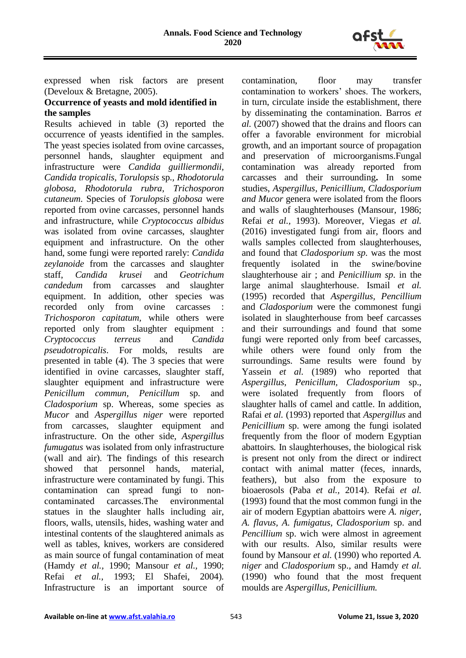

expressed when risk factors are present (Develoux & Bretagne, 2005).

## **Occurrence of yeasts and mold identified in the samples**

Results achieved in table (3) reported the occurrence of yeasts identified in the samples. The yeast species isolated from ovine carcasses, personnel hands, slaughter equipment and infrastructure were *Candida guilliermondii, Candida tropicalis, Torulopsis* sp*., Rhodotorula globosa, Rhodotorula rubra, Trichosporon cutaneum*. Species of *Torulopsis globosa* were reported from ovine carcasses, personnel hands and infrastructure, while *Cryptococcus albidus* was isolated from ovine carcasses, slaughter equipment and infrastructure. On the other hand, some fungi were reported rarely: *Candida zeylanoide* from the carcasses and slaughter staff, *Candida krusei* and *Geotrichum candedum* from carcasses and slaughter equipment. In addition, other species was recorded only from ovine carcasses *Trichosporon capitatum,* while others were reported only from slaughter equipment : *Cryptococcus terreus* and *Candida pseudotropicalis*. For molds, results are presented in table (4). The 3 species that were identified in ovine carcasses, slaughter staff, slaughter equipment and infrastructure were *Penicillum commun, Penicillum* sp. and *Cladosporium* sp. Whereas, some species as *Mucor* and *Aspergillus niger* were reported from carcasses, slaughter equipment and infrastructure. On the other side, *Aspergillus fumugatus* was isolated from only infrastructure (wall and air). The findings of this research showed that personnel hands, material, infrastructure were contaminated by fungi. This contamination can spread fungi to noncontaminated carcasses.The environmental statues in the slaughter halls including air, floors, walls, utensils, hides, washing water and intestinal contents of the slaughtered animals as well as tables, knives, workers are considered as main source of fungal contamination of meat (Hamdy *et al.,* 1990; Mansour *et al.,* 1990; Refai *et al.,* 1993; El Shafei, 2004)*.* Infrastructure is an important source of

contamination, floor may transfer contamination to workers' shoes. The workers, in turn, circulate inside the establishment, there by disseminating the contamination. Barros *et al.* (2007) showed that the drains and floors can offer a favorable environment for microbial growth, and an important source of propagation and preservation of microorganisms.Fungal contamination was already reported from carcasses and their surrounding**.** In some studies, *Aspergillus, Penicillium, Cladosporium and Mucor* genera were isolated from the floors and walls of slaughterhouses (Mansour, 1986; Refai *et al.,* 1993). Moreover, Viegas *et al.* (2016) investigated fungi from air, floors and walls samples collected from slaughterhouses, and found that *Cladosporium sp.* was the most frequently isolated in the swine/bovine slaughterhouse air ; and *Penicillium sp*. in the large animal slaughterhouse. Ismail *et al.* (1995) recorded that *Aspergillus, Pencillium*  and *Cladosporium* were the commonest fungi isolated in slaughterhouse from beef carcasses and their surroundings and found that some fungi were reported only from beef carcasses, while others were found only from the surroundings*.* Same results were found by Yassein *et al.* (1989) who reported that *Aspergillus*, *Penicillum, Cladosporium* sp., were isolated frequently from floors of slaughter halls of camel and cattle. In addition, Rafai *et al.* (1993) reported that *Aspergillus* and *Penicillium* sp. were among the fungi isolated frequently from the floor of modern Egyptian abattoirs*.* In slaughterhouses, the biological risk is present not only from the direct or indirect contact with animal matter (feces, innards, feathers), but also from the exposure to bioaerosols (Paba *et al.,* 2014). Refai *et al.* (1993) found that the most common fungi in the air of modern Egyptian abattoirs were *A. niger, A. flavus, A. fumigatus, Cladosporium* sp. and *Pencillium* sp. wich were almost in agreement with our results. Also, similar results were found by Mansour *et al.* (1990) who reported *A. niger* and *Cladosporium* sp., and Hamdy *et al.* (1990) who found that the most frequent moulds are *Aspergillus, Penicillium.*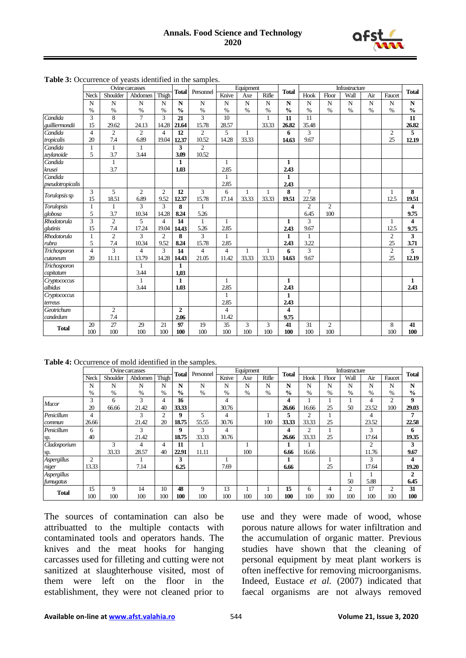

|                  | Ovine carcasses |                |                |                |                         | <b>Total</b><br>Personnel |                | Equipment    | <b>Total</b> |                    | Infrastructure |                |             |                |                |                         |
|------------------|-----------------|----------------|----------------|----------------|-------------------------|---------------------------|----------------|--------------|--------------|--------------------|----------------|----------------|-------------|----------------|----------------|-------------------------|
|                  | Neck            | Shoulder       | Abdomen        | Thigh          |                         |                           | Knive          | Axe          | Rifle        |                    | Hook           | Floor          | Wall        | Air            | Faucet         | <b>Total</b>            |
|                  | $\mathbf N$     | N              | $\mathbf N$    | N              | $\overline{\mathbf{N}}$ | N                         | $\overline{N}$ | $\mathbf N$  | $\mathbf N$  | $\overline{\bf N}$ | $\mathbf N$    | N              | $\mathbf N$ | $\overline{N}$ | $\mathbf N$    | $\overline{\bf N}$      |
|                  | $\%$            | $\%$           | $\%$           | $\%$           | $\frac{0}{0}$           | $\%$                      | $\%$           | $\%$         | $\%$         | $\frac{0}{0}$      | $\%$           | $\%$           | %           | $\%$           | $\%$           | $\frac{0}{0}$           |
| Candida          | 3               | 8              | $\overline{7}$ | 3              | 21                      | 3                         | 10             |              | 1            | 11                 | 11             |                |             |                |                | 11                      |
| guilliermondii   | 15              | 29.62          | 24.13          | 14.28          | 21.64                   | 15.78                     | 28.57          |              | 33.33        | 26.82              | 35.48          |                |             |                |                | 26.82                   |
| Candida          | $\overline{4}$  | $\overline{2}$ | $\overline{c}$ | $\overline{4}$ | 12                      | $\overline{2}$            | 5              | $\mathbf{1}$ |              | 6                  | 3              |                |             |                | $\overline{2}$ | 5                       |
| tropicalis       | 20              | 7 <sub>4</sub> | 6.89           | 19.04          | 12.37                   | 10.52                     | 14.28          | 33.33        |              | 14.63              | 9.67           |                |             |                | 25             | 12.19                   |
| Candida          | $\mathbf{1}$    | $\mathbf{1}$   | $\mathbf{1}$   |                | 3                       | $\overline{2}$            |                |              |              |                    |                |                |             |                |                |                         |
| zeylanoide       | 5               | 3.7            | 3.44           |                | 3.09                    | 10.52                     |                |              |              |                    |                |                |             |                |                |                         |
| Candida          |                 | 1              |                |                | $\mathbf{1}$            |                           | $\mathbf{1}$   |              |              | 1                  |                |                |             |                |                |                         |
| krusei           |                 | 3.7            |                |                | 1.03                    |                           | 2.85           |              |              | 2.43               |                |                |             |                |                |                         |
| Candida          |                 |                |                |                |                         |                           | $\mathbf{1}$   |              |              | $\mathbf{1}$       |                |                |             |                |                |                         |
| pseudotropicalis |                 |                |                |                |                         |                           | 2.85           |              |              | 2.43               |                |                |             |                |                |                         |
| Torulopsis sp    | 3               | 5              | $\overline{c}$ | $\overline{c}$ | 12                      | 3                         | 6              | 1            | 1            | 8                  | $\overline{7}$ |                |             |                | 1              | 8                       |
|                  | 15              | 18.51          | 6.89           | 9.52           | 12.37                   | 15.78                     | 17.14          | 33.33        | 33.33        | 19.51              | 22.58          |                |             |                | 12.5           | 19.51                   |
| Torulopsis       | $\mathbf{1}$    | 1              | 3              | 3              | 8                       | $\mathbf{1}$              |                |              |              |                    | $\overline{2}$ | $\overline{2}$ |             |                |                | 4                       |
| globosa          | 5               | 3.7            | 10.34          | 14.28          | 8.24                    | 5.26                      |                |              |              |                    | 6.45           | 100            |             |                |                | 9.75                    |
| Rhodotorula      | 3               | $\overline{2}$ | 5              | $\overline{4}$ | 14                      | $\mathbf{1}$              | $\mathbf{1}$   |              |              | $\mathbf{1}$       | 3              |                |             |                | 1              | $\overline{\mathbf{4}}$ |
| glutinis         | 15              | 7.4            | 17.24          | 19.04          | 14.43                   | 5.26                      | 2.85           |              |              | 2.43               | 9.67           |                |             |                | 12.5           | 9.75                    |
| Rhodotorula      | 1               | $\mathbf{2}$   | 3              | $\overline{2}$ | 8                       | 3                         | $\mathbf{1}$   |              |              | 1                  | 1              |                |             |                | $\overline{2}$ | 3                       |
| rubra            | 5               | 7.4            | 10.34          | 9.52           | 8.24                    | 15.78                     | 2.85           |              |              | 2.43               | 3.22           |                |             |                | 25             | 3.71                    |
| Trichosporon     | $\overline{4}$  | 3              | $\overline{4}$ | 3              | 14                      | $\overline{4}$            | $\overline{4}$ | 1            | 1            | 6                  | 3              |                |             |                | $\overline{2}$ | 5                       |
| cutaneum         | 20              | 11.11          | 13.79          | 14.28          | 14.43                   | 21.05                     | 11.42          | 33.33        | 33.33        | 14.63              | 9.67           |                |             |                | 25             | 12.19                   |
| Trichosporon     |                 |                | 1              |                | $\mathbf{1}$            |                           |                |              |              |                    |                |                |             |                |                |                         |
| capitatum        |                 |                | 3.44           |                | 1,03                    |                           |                |              |              |                    |                |                |             |                |                |                         |
| Cryptococcus     |                 |                | 1              |                | $\mathbf{1}$            |                           | 1              |              |              | $\mathbf{1}$       |                |                |             |                |                | 1                       |
| albidus          |                 |                | 3.44           |                | 1.03                    |                           | 2.85           |              |              | 2.43               |                |                |             |                |                | 2.43                    |
| Cryptococcus     |                 |                |                |                |                         |                           | $\mathbf{1}$   |              |              | $\mathbf{1}$       |                |                |             |                |                |                         |
| terreus          |                 |                |                |                |                         |                           | 2.85           |              |              | 2.43               |                |                |             |                |                |                         |
| Geotrichum       |                 | $\overline{2}$ |                |                | $\overline{2}$          |                           | $\overline{4}$ |              |              | 4                  |                |                |             |                |                |                         |
| candedum         |                 | 7.4            |                |                | 2.06                    |                           | 11.42          |              |              | 9.75               |                |                |             |                |                |                         |
| <b>Total</b>     | 20              | 27             | 29             | 21             | 97                      | 19                        | 35             | 3            | 3            | 41                 | 31             | $\overline{c}$ |             |                | 8              | 41                      |
|                  | 100             | 100            | 100            | 100            | 100                     | 100                       | 100            | 100          | 100          | 100                | 100            | 100            |             |                | 100            | 100                     |

**Table 3:** Occurrence of yeasts identified in the samples.

**Table 4:** Occurrence of mold identified in the samples.

|              | Ovine carcasses |          |         |       |               | Personnel | Equipment |      |       | <b>Total</b>  |       |       | Infrastructure |                |                |               |
|--------------|-----------------|----------|---------|-------|---------------|-----------|-----------|------|-------|---------------|-------|-------|----------------|----------------|----------------|---------------|
|              | Neck            | Shoulder | Abdomen | Thigh | <b>Total</b>  |           | Knive     | Axe  | Rifle |               | Hook  | Floor | Wall           | Air            | Faucet         | <b>Total</b>  |
|              | N               | N        | N       | N     | N             | N         | N         | N    | N     | N             | N     | N     | N              | N              | N              | N             |
|              | $\%$            | $\%$     | $\%$    | $\%$  | $\frac{0}{0}$ | $\%$      | %         | $\%$ | %     | $\frac{0}{0}$ | %     | $\%$  | $\%$           | $\%$           | $\%$           | $\frac{0}{0}$ |
| Mucor        | 3               | 6        | 3       | 4     | 16            |           | 4         |      |       | 4             |       |       |                | 4              | $\overline{c}$ | 9             |
|              | 20              | 66.66    | 21.42   | 40    | 33.33         |           | 30.76     |      |       | 26.66         | 16.66 | 25    | 50             | 23.52          | 100            | 29.03         |
| Penicillum   | 4               |          | 3       | 2     | 9             | 5         | 4         |      |       | 5             | 2     |       |                | 4              |                | 7             |
| commun       | 26.66           |          | 21.42   | 20    | 18.75         | 55.55     | 30.76     |      | 100   | 33.33         | 33.33 | 25    |                | 23.52          |                | 22.58         |
| Penicillum   | 6               |          | 3       |       | 9             | 3         | 4         |      |       | 4             | 2     |       |                | 3              |                | 6             |
| sp.          | 40              |          | 21.42   |       | 18.75         | 33.33     | 30.76     |      |       | 26.66         | 33.33 | 25    |                | 17.64          |                | 19.35         |
| Cladosporium |                 | 3        | 4       | 4     | 11            |           |           |      |       |               |       |       |                | $\overline{c}$ |                | 3             |
| sp.          |                 | 33.33    | 28.57   | 40    | 22.91         | 11.11     |           | 100  |       | 6.66          | 16.66 |       |                | 11.76          |                | 9.67          |
| Aspergillus  | $\overline{2}$  |          |         |       | 3             |           |           |      |       |               |       |       |                | 3              |                | 4             |
| niger        | 13.33           |          | 7.14    |       | 6.25          |           | 7.69      |      |       | 6.66          |       | 25    |                | 17.64          |                | 19.20         |
| Aspergillus  |                 |          |         |       |               |           |           |      |       |               |       |       |                |                |                | 2             |
| furnugatus   |                 |          |         |       |               |           |           |      |       |               |       |       | 50             | 5.88           |                | 6.45          |
|              | 15              | 9        | 14      | 10    | 48            | 9         | 13        |      |       | 15            | 6     | 4     | $\overline{2}$ | 17             | $\overline{2}$ | 31            |
| <b>Total</b> | 100             | 100      | 100     | 100   | 100           | 100       | 100       | 100  | 100   | 100           | 100   | 100   | 100            | 100            | 100            | 100           |

The sources of contamination can also be attribuatted to the multiple contacts with contaminated tools and operators hands. The knives and the meat hooks for hanging carcasses used for filleting and cutting were not sanitized at slaughterhouse visited, most of them were left on the floor in the establishment, they were not cleaned prior to use and they were made of wood, whose porous nature allows for water infiltration and the accumulation of organic matter. Previous studies have shown that the cleaning of personal equipment by meat plant workers is often ineffective for removing microorganisms. Indeed, Eustace *et al.* (2007) indicated that faecal organisms are not always removed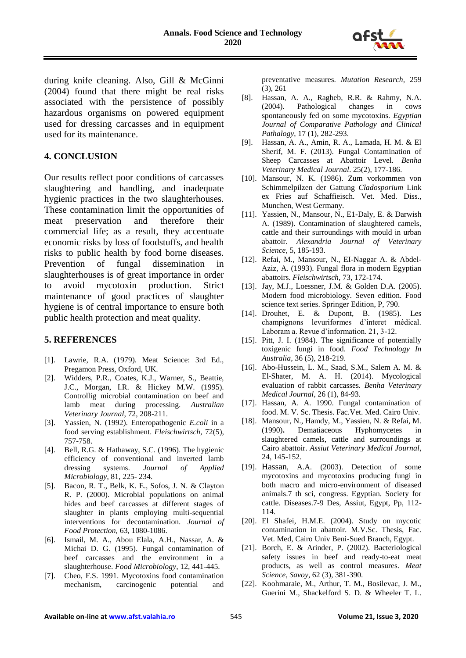

during knife cleaning. Also, Gill & McGinni (2004) found that there might be real risks associated with the persistence of possibly hazardous organisms on powered equipment used for dressing carcasses and in equipment used for its maintenance.

## **4. CONCLUSION**

Our results reflect poor conditions of carcasses slaughtering and handling, and inadequate hygienic practices in the two slaughterhouses. These contamination limit the opportunities of meat preservation and therefore their commercial life; as a result, they accentuate economic risks by loss of foodstuffs, and health risks to public health by food borne diseases. Prevention of fungal dissemination in slaughterhouses is of great importance in order to avoid mycotoxin production. Strict maintenance of good practices of slaughter hygiene is of central importance to ensure both public health protection and meat quality.

## **5. REFERENCES**

- [1]. Lawrie, R.A. (1979). Meat Science: 3rd Ed., Pregamon Press, Oxford, UK.
- [2]. Widders, P.R., Coates, K.J., Warner, S., Beattie, J.C., Morgan, I.R. & Hickey M.W. (1995). Controllig microbial contamination on beef and lamb meat during processing. *Australian Veterinary Journal*, 72, 208-211.
- [3]. Yassien, N. (1992). Enteropathogenic *E.coli* in a food serving establishment. *Fleischwirtsch,* 72(5), 757-758.
- [4]. Bell, R.G. & Hathaway, S.C. (1996). The hygienic efficiency of conventional and inverted lamb dressing systems. *Journal of Applied Microbiology*, 81, 225- 234.
- [5]. Bacon, R. T., Belk, K. E., Sofos, J. N. & Clayton R. P. (2000). Microbial populations on animal hides and beef carcasses at different stages of slaughter in plants employing multi-sequential interventions for decontamination. *Journal of Food Protection,* 63, 1080-1086.
- [6]. Ismail, M. A., Abou Elala, A.H., Nassar, A. & Michai D. G. (1995). Fungal contamination of beef carcasses and the environment in a slaughterhouse. *Food Microbiology,* 12, 441-445.
- [7]. Cheo, F.S. 1991. Mycotoxins food contamination mechanism, carcinogenic potential and

preventative measures. *Mutation Research,* 259 (3), 261

- [8]. Hassan, A. A., Ragheb, R.R. & Rahmy, N.A. (2004). Pathological changes in cows spontaneously fed on some mycotoxins. *Egyptian Journal of Comparative Pathology and Clinical Pathalogy*, 17 (1), 282-293.
- [9]. Hassan, A. A., Amin, R. A., Lamada, H. M. & El Sherif, M. F. (2013). Fungal Contamination of Sheep Carcasses at Abattoir Level. *Benha Veterinary Medical Journal*. 25(2), 177-186.
- [10]. Mansour, N. K. (1986). Zum vorkommen von Schimmelpilzen der Gattung *Cladosporium* Link ex Fries auf Schaffieisch. Vet. Med. Diss., Munchen, West Germany.
- [11]. Yassien, N., Mansour, N., E1-Daly, E. & Darwish A. (1989). Contamination of slaughtered camels, cattle and their surroundings with mould in urban abattoir. *Alexandria Journal of Veterinary Science*, 5, 185-193.
- [12]. Refai, M., Mansour, N., EI-Naggar A. & Abdel-Aziz, A. (1993). Fungal flora in modern Egyptian abattoirs. *Fleischwirtsch,* 73, 172-174.
- [13]. Jay, M.J., Loessner, J.M. & Golden D.A. (2005). Modern food microbiology. Seven edition. Food science text series. Springer Edition, P, 790.
- [14]. Drouhet, E. & Dupont, B. (1985). Les champignons levuriformes d'interet médical. Laboram a. Revue d'information. 21, 3-12.
- [15]. Pitt, J. I. (1984). The significance of potentially toxigenic fungi in food. *Food Technology In Australia,* 36 (5), 218-219.
- [16]. Abo-Hussein, L. M., Saad, S.M., Salem A. M. & El-Shater, M. A. H. (2014). Mycological evaluation of rabbit carcasses. *Benha Veterinary Medical Journal,* 26 (1), 84-93.
- [17]. Hassan, A. A. 1990. Fungal contamination of food. M. V. Sc. Thesis. Fac.Vet. Med. Cairo Univ.
- [18]. Mansour, N., Hamdy, M., Yassien, N. & Refai, M. (1990)**.** Dematiaceous Hyphomycetes in slaughtered camels, cattle and surroundings at Cairo abattoir. *Assiut Veterinary Medical Journal*, 24, 145-152.
- [19]. Hassan, A.A. (2003). Detection of some mycotoxins and mycotoxins producing fungi in both macro and micro-environment of diseased animals.7 th sci, congress. Egyptian. Society for cattle. Diseases.7-9 Des, Assiut, Egypt, Pp, 112- 114.
- [20]. El Shafei, H.M.E. (2004). Study on mycotic contamination in abattoir. M.V.Sc. Thesis, Fac. Vet. Med, Cairo Univ Beni-Sued Branch, Egypt.
- [21]. Borch, E. & Arinder, P. (2002). Bacteriological safety issues in beef and ready-to-eat meat products, as well as control measures. *Meat Science, Savoy*, 62 (3), 381-390.
- [22]. Koohmaraie, M., Arthur, T. M., Bosilevac, J. M., Guerini M., Shackelford S. D. & Wheeler T. L.